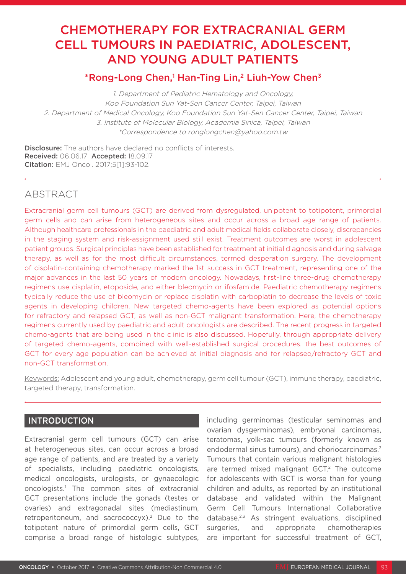# CHEMOTHERAPY FOR EXTRACRANIAL GERM CELL TUMOURS IN PAEDIATRIC, ADOLESCENT, AND YOUNG ADULT PATIENTS

# \*Rong-Long Chen,1 Han-Ting Lin,<sup>2</sup> Liuh-Yow Chen<sup>3</sup>

1. Department of Pediatric Hematology and Oncology, Koo Foundation Sun Yat-Sen Cancer Center, Taipei, Taiwan 2. Department of Medical Oncology, Koo Foundation Sun Yat-Sen Cancer Center, Taipei, Taiwan 3. Institute of Molecular Biology, Academia Sinica, Taipei, Taiwan \*Correspondence to ronglongchen@yahoo.com.tw

Disclosure: The authors have declared no conflicts of interests. Received: 06.06.17 Accepted: 18.09.17 Citation: EMJ Oncol. 2017;5[1]:93-102.

# ABSTRACT

Extracranial germ cell tumours (GCT) are derived from dysregulated, unipotent to totipotent, primordial germ cells and can arise from heterogeneous sites and occur across a broad age range of patients. Although healthcare professionals in the paediatric and adult medical fields collaborate closely, discrepancies in the staging system and risk-assignment used still exist. Treatment outcomes are worst in adolescent patient groups. Surgical principles have been established for treatment at initial diagnosis and during salvage therapy, as well as for the most difficult circumstances, termed desperation surgery. The development of cisplatin-containing chemotherapy marked the 1st success in GCT treatment, representing one of the major advances in the last 50 years of modern oncology. Nowadays, first-line three-drug chemotherapy regimens use cisplatin, etoposide, and either bleomycin or ifosfamide. Paediatric chemotherapy regimens typically reduce the use of bleomycin or replace cisplatin with carboplatin to decrease the levels of toxic agents in developing children. New targeted chemo-agents have been explored as potential options for refractory and relapsed GCT, as well as non-GCT malignant transformation. Here, the chemotherapy regimens currently used by paediatric and adult oncologists are described. The recent progress in targeted chemo-agents that are being used in the clinic is also discussed. Hopefully, through appropriate delivery of targeted chemo-agents, combined with well-established surgical procedures, the best outcomes of GCT for every age population can be achieved at initial diagnosis and for relapsed/refractory GCT and non-GCT transformation.

Keywords: Adolescent and young adult, chemotherapy, germ cell tumour (GCT), immune therapy, paediatric, targeted therapy, transformation.

## INTRODUCTION

Extracranial germ cell tumours (GCT) can arise at heterogeneous sites, can occur across a broad age range of patients, and are treated by a variety of specialists, including paediatric oncologists, medical oncologists, urologists, or gynaecologic oncologists.1 The common sites of extracranial GCT presentations include the gonads (testes or ovaries) and extragonadal sites (mediastinum, retroperitoneum, and sacrococcyx).2 Due to the totipotent nature of primordial germ cells, GCT comprise a broad range of histologic subtypes,

including germinomas (testicular seminomas and ovarian dysgerminomas), embryonal carcinomas, teratomas, yolk-sac tumours (formerly known as endodermal sinus tumours), and choriocarcinomas.<sup>2</sup> Tumours that contain various malignant histologies are termed mixed malignant GCT.<sup>2</sup> The outcome for adolescents with GCT is worse than for young children and adults, as reported by an institutional database and validated within the Malignant Germ Cell Tumours International Collaborative database.2,3 As stringent evaluations, disciplined surgeries, and appropriate chemotherapies are important for successful treatment of GCT,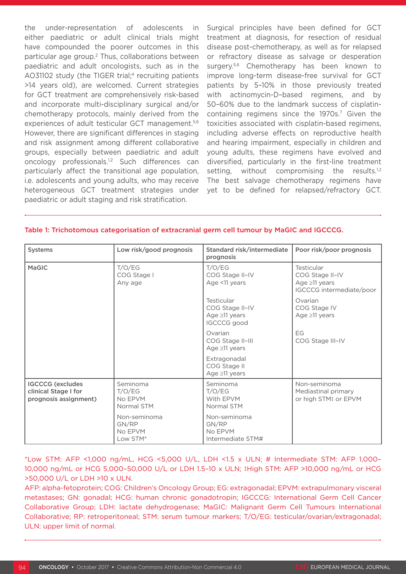the under-representation of adolescents in either paediatric or adult clinical trials might have compounded the poorer outcomes in this particular age group.2 Thus, collaborations between paediatric and adult oncologists, such as in the AO31102 study (the TIGER trial;<sup>4</sup> recruiting patients >14 years old), are welcomed. Current strategies for GCT treatment are comprehensively risk-based and incorporate multi-disciplinary surgical and/or chemotherapy protocols, mainly derived from the experiences of adult testicular GCT management.<sup>5,6</sup> However, there are significant differences in staging and risk assignment among different collaborative groups, especially between paediatric and adult oncology professionals.1,2 Such differences can particularly affect the transitional age population, i.e. adolescents and young adults, who may receive heterogeneous GCT treatment strategies under paediatric or adult staging and risk stratification.

Surgical principles have been defined for GCT treatment at diagnosis, for resection of residual disease post-chemotherapy, as well as for relapsed or refractory disease as salvage or desperation surgery.<sup>5,6</sup> Chemotherapy has been known to improve long-term disease-free survival for GCT patients by 5–10% in those previously treated with actinomycin-D–based regimens, and by 50–60% due to the landmark success of cisplatincontaining regimens since the 1970s.<sup>7</sup> Given the toxicities associated with cisplatin-based regimens, including adverse effects on reproductive health and hearing impairment, especially in children and young adults, these regimens have evolved and diversified, particularly in the first-line treatment setting, without compromising the results.<sup>1,2</sup> The best salvage chemotherapy regimens have yet to be defined for relapsed/refractory GCT.

| <b>Systems</b>                                                           | Low risk/good prognosis                      | Standard risk/intermediate<br>Poor risk/poor prognosis<br>prognosis        |                                                                                  |  |
|--------------------------------------------------------------------------|----------------------------------------------|----------------------------------------------------------------------------|----------------------------------------------------------------------------------|--|
| <b>MaGIC</b>                                                             | T/O/EG<br>COG Stage I<br>Any age             | T/O/EG<br>COG Stage II-IV<br>Age <11 years                                 | Testicular<br>COG Stage II-IV<br>Age $\geq$ 11 years<br>IGCCCG intermediate/poor |  |
|                                                                          |                                              | Testicular<br>COG Stage II-IV<br>Age $\geq$ 11 years<br><b>IGCCCG</b> good | Ovarian<br>COG Stage IV<br>Age $\geq$ 11 years                                   |  |
|                                                                          |                                              | Ovarian<br>COG Stage II-III<br>Age $\geq$ 11 years                         | EG<br>COG Stage III-IV                                                           |  |
|                                                                          |                                              | Extragonadal<br>COG Stage II<br>Age $\geq$ 11 years                        |                                                                                  |  |
| <b>IGCCCG</b> (excludes<br>clinical Stage I for<br>prognosis assignment) | Seminoma<br>T/O/EG<br>No EPVM<br>Normal STM  | Seminoma<br>T/O/EG<br>With EPVM<br>Normal STM                              | Non-seminoma<br>Mediastinal primary<br>or high STM‡ or EPVM                      |  |
|                                                                          | Non-seminoma<br>GN/RP<br>No EPVM<br>Low STM* | Non-seminoma<br>GN/RP<br>No EPVM<br>Intermediate STM#                      |                                                                                  |  |

#### Table 1: Trichotomous categorisation of extracranial germ cell tumour by MaGIC and IGCCCG.

\*Low STM: AFP <1,000 ng/mL, HCG <5,000 U/L, LDH <1.5 x ULN; # Intermediate STM: AFP 1,000– 10,000 ng/mL or HCG 5,000–50,000 U/L or LDH 1.5–10 x ULN; ‡High STM: AFP >10,000 ng/mL or HCG >50,000 U/L or LDH >10 x ULN.

AFP: alpha-fetoprotein; COG: Children's Oncology Group; EG: extragonadal; EPVM: extrapulmonary visceral metastases; GN: gonadal; HCG: human chronic gonadotropin; IGCCCG: International Germ Cell Cancer Collaborative Group; LDH: lactate dehydrogenase; MaGIC: Malignant Germ Cell Tumours International Collaborative; RP: retroperitoneal; STM: serum tumour markers; T/O/EG: testicular/ovarian/extragonadal; ULN: upper limit of normal.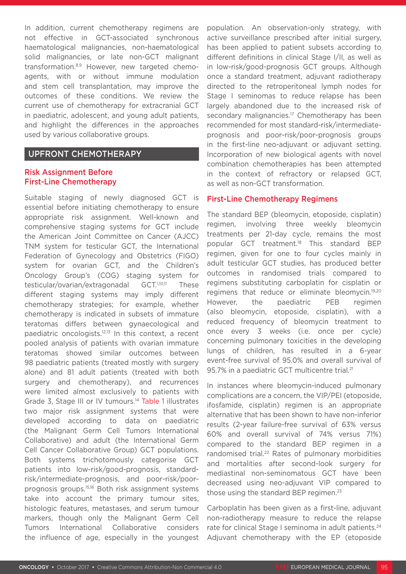In addition, current chemotherapy regimens are not effective in GCT-associated synchronous haematological malignancies, non-haematological solid malignancies, or late non-GCT malignant transformation.8,9 However, new targeted chemoagents, with or without immune modulation and stem cell transplantation, may improve the outcomes of these conditions. We review the current use of chemotherapy for extracranial GCT in paediatric, adolescent, and young adult patients, and highlight the differences in the approaches used by various collaborative groups.

#### UPFRONT CHEMOTHERAPY

#### Risk Assignment Before First-Line Chemotherapy

Suitable staging of newly diagnosed GCT is essential before initiating chemotherapy to ensure appropriate risk assignment. Well-known and comprehensive staging systems for GCT include the American Joint Committee on Cancer (AJCC) TNM system for testicular GCT, the International Federation of Gynecology and Obstetrics (FIGO) system for ovarian GCT, and the Children's Oncology Group's (COG) staging system for testicular/ovarian/extragonadal GCT.<sup>1,10,11</sup> These different staging systems may imply different chemotherapy strategies; for example, whether chemotherapy is indicated in subsets of immature teratomas differs between gynaecological and paediatric oncologists.12,13 In this context, a recent pooled analysis of patients with ovarian immature teratomas showed similar outcomes between 98 paediatric patients (treated mostly with surgery alone) and 81 adult patients (treated with both surgery and chemotherapy), and recurrences were limited almost exclusively to patients with Grade 3, Stage III or IV tumours.14 Table 1 illustrates two major risk assignment systems that were developed according to data on paediatric (the Malignant Germ Cell Tumors International Collaborative) and adult (the International Germ Cell Cancer Collaborative Group) GCT populations. Both systems trichotomously categorise GCT patients into low-risk/good-prognosis, standardrisk/intermediate-prognosis, and poor-risk/poorprognosis groups.15,16 Both risk assignment systems take into account the primary tumour sites, histologic features, metastases, and serum tumour markers, though only the Malignant Germ Cell Tumors International Collaborative considers the influence of age, especially in the youngest

population. An observation-only strategy, with active surveillance prescribed after initial surgery, has been applied to patient subsets according to different definitions in clinical Stage I/II, as well as in low-risk/good-prognosis GCT groups. Although once a standard treatment, adjuvant radiotherapy directed to the retroperitoneal lymph nodes for Stage I seminomas to reduce relapse has been largely abandoned due to the increased risk of secondary malignancies.<sup>17</sup> Chemotherapy has been recommended for most standard-risk/intermediateprognosis and poor-risk/poor-prognosis groups in the first-line neo-adjuvant or adjuvant setting. Incorporation of new biological agents with novel combination chemotherapies has been attempted in the context of refractory or relapsed GCT, as well as non-GCT transformation.

#### First-Line Chemotherapy Regimens

The standard BEP (bleomycin, etoposide, cisplatin) regimen, involving three weekly bleomycin treatments per 21-day cycle, remains the most popular GCT treatment.18 This standard BEP regimen, given for one to four cycles mainly in adult testicular GCT studies, has produced better outcomes in randomised trials compared to regimens substituting carboplatin for cisplatin or regimens that reduce or eliminate bleomycin.<sup>19,20</sup> However, the paediatric PEB regimen (also bleomycin, etoposide, cisplatin), with a reduced frequency of bleomycin treatment to once every 3 weeks (i.e. once per cycle) concerning pulmonary toxicities in the developing lungs of children, has resulted in a 6-year event-free survival of 95.0% and overall survival of 95.7% in a paediatric GCT multicentre trial.<sup>21</sup>

In instances where bleomycin-induced pulmonary complications are a concern, the VIP/PEI (etoposide, ifosfamide, cisplatin) regimen is an appropriate alternative that has been shown to have non-inferior results (2-year failure-free survival of 63% versus 60% and overall survival of 74% versus 71%) compared to the standard BEP regimen in a randomised trial.<sup>22</sup> Rates of pulmonary morbidities and mortalities after second-look surgery for mediastinal non-seminomatous GCT have been decreased using neo-adjuvant VIP compared to those using the standard BEP regimen.<sup>23</sup>

Carboplatin has been given as a first-line, adjuvant non-radiotherapy measure to reduce the relapse rate for clinical Stage I seminoma in adult patients.<sup>24</sup> Adjuvant chemotherapy with the EP (etoposide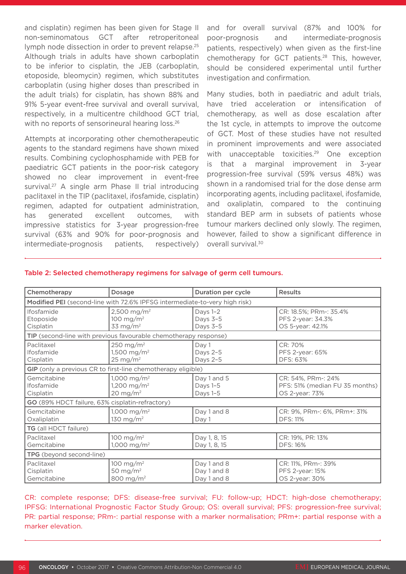and cisplatin) regimen has been given for Stage II non-seminomatous GCT after retroperitoneal lymph node dissection in order to prevent relapse.<sup>25</sup> Although trials in adults have shown carboplatin to be inferior to cisplatin, the JEB (carboplatin, etoposide, bleomycin) regimen, which substitutes carboplatin (using higher doses than prescribed in the adult trials) for cisplatin, has shown 88% and 91% 5-year event-free survival and overall survival, respectively, in a multicentre childhood GCT trial, with no reports of sensorineural hearing loss.<sup>26</sup>

Attempts at incorporating other chemotherapeutic agents to the standard regimens have shown mixed results. Combining cyclophosphamide with PEB for paediatric GCT patients in the poor-risk category showed no clear improvement in event-free survival.<sup>27</sup> A single arm Phase II trial introducing paclitaxel in the TIP (paclitaxel, ifosfamide, cisplatin) regimen, adapted for outpatient administration, has generated excellent outcomes, with impressive statistics for 3-year progression-free survival (63% and 90% for poor-prognosis and intermediate-prognosis patients, respectively) and for overall survival (87% and 100% for poor-prognosis and intermediate-prognosis patients, respectively) when given as the first-line chemotherapy for GCT patients.28 This, however, should be considered experimental until further investigation and confirmation.

Many studies, both in paediatric and adult trials, have tried acceleration or intensification of chemotherapy, as well as dose escalation after the 1st cycle, in attempts to improve the outcome of GCT. Most of these studies have not resulted in prominent improvements and were associated with unacceptable toxicities.<sup>29</sup> One exception is that a marginal improvement in 3-year progression-free survival (59% versus 48%) was shown in a randomised trial for the dose dense arm incorporating agents, including paclitaxel, ifosfamide, and oxaliplatin, compared to the continuing standard BEP arm in subsets of patients whose tumour markers declined only slowly. The regimen, however, failed to show a significant difference in overall survival.<sup>30</sup>

| Chemotherapy                                                               | <b>Dosage</b>                                                             | Duration per cycle                        | <b>Results</b>                                                          |  |  |  |  |
|----------------------------------------------------------------------------|---------------------------------------------------------------------------|-------------------------------------------|-------------------------------------------------------------------------|--|--|--|--|
| Modified PEI (second-line with 72.6% IPFSG intermediate-to-very high risk) |                                                                           |                                           |                                                                         |  |  |  |  |
| Ifosfamide<br>Etoposide<br>Cisplatin                                       | 2,500 mg/m <sup>2</sup><br>100 mg/m <sup>2</sup><br>33 mg/m <sup>2</sup>  | Days 1-2<br>Days 3-5<br>Days 3-5          | CR: 18.5%; PRm-: 35.4%<br>PFS 2-year: 34.3%<br>OS 5-year: 42.1%         |  |  |  |  |
| TIP (second-line with previous favourable chemotherapy response)           |                                                                           |                                           |                                                                         |  |  |  |  |
| Paclitaxel<br>Ifosfamide<br>Cisplatin                                      | 250 mg/m <sup>2</sup><br>1,500 mg/m <sup>2</sup><br>$25 \text{ mg/m}^2$   | Day 1<br>Days 2-5<br>Days 2-5             | CR: 70%<br>PFS 2-year: 65%<br>DFS: 63%                                  |  |  |  |  |
| GIP (only a previous CR to first-line chemotherapy eligible)               |                                                                           |                                           |                                                                         |  |  |  |  |
| Gemcitabine<br>Ifosfamide<br>Cisplatin                                     | 1,000 mg/m <sup>2</sup><br>1,200 mg/m <sup>2</sup><br>$20 \text{ mg/m}^2$ | Day 1 and 5<br>Days 1-5<br>Days 1-5       | CR: 54%, PRm -: 24%<br>PFS: 51% (median FU 35 months)<br>OS 2-year: 73% |  |  |  |  |
| GO (89% HDCT failure, 63% cisplatin-refractory)                            |                                                                           |                                           |                                                                         |  |  |  |  |
| Gemcitabine<br>Oxaliplatin                                                 | 1,000 mg/m <sup>2</sup><br>130 mg/m <sup>2</sup>                          | Day 1 and 8<br>Day 1                      | CR: 9%, PRm-: 6%, PRm+: 31%<br><b>DFS: 11%</b>                          |  |  |  |  |
| TG (all HDCT failure)                                                      |                                                                           |                                           |                                                                         |  |  |  |  |
| Paclitaxel<br>Gemcitabine                                                  | 100 mg/m <sup>2</sup><br>1,000 mg/m <sup>2</sup>                          | Day 1, 8, 15<br>Day 1, 8, 15              | CR: 19%, PR: 13%<br><b>DFS: 16%</b>                                     |  |  |  |  |
| TPG (beyond second-line)                                                   |                                                                           |                                           |                                                                         |  |  |  |  |
| Paclitaxel<br>Cisplatin<br>Gemcitabine                                     | 100 mg/m <sup>2</sup><br>50 mg/m <sup>2</sup><br>800 mg/m <sup>2</sup>    | Day 1 and 8<br>Day 1 and 8<br>Day 1 and 8 | CR: 11%, PRm -: 39%<br>PFS 2-year: 15%<br>OS 2-year: 30%                |  |  |  |  |

#### Table 2: Selected chemotherapy regimens for salvage of germ cell tumours.

CR: complete response; DFS: disease-free survival; FU: follow-up; HDCT: high-dose chemotherapy; IPFSG: International Prognostic Factor Study Group; OS: overall survival; PFS: progression-free survival; PR: partial response; PRm-: partial response with a marker normalisation; PRm+: partial response with a marker elevation.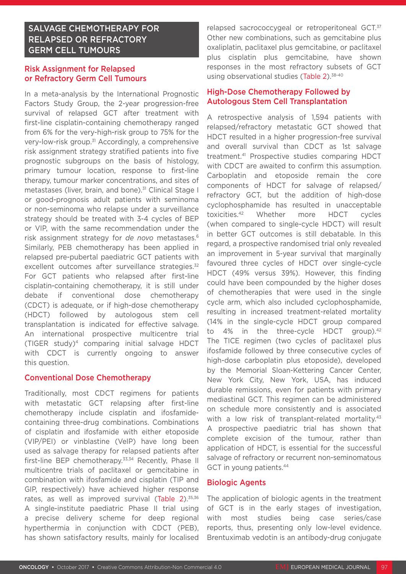# SALVAGE CHEMOTHERAPY FOR RELAPSED OR REFRACTORY GERM CELL TUMOURS

### Risk Assignment for Relapsed or Refractory Germ Cell Tumours

In a meta-analysis by the International Prognostic Factors Study Group, the 2-year progression-free survival of relapsed GCT after treatment with first-line cisplatin-containing chemotherapy ranged from 6% for the very-high-risk group to 75% for the very-low-risk group.<sup>31</sup> Accordingly, a comprehensive risk assignment strategy stratified patients into five prognostic subgroups on the basis of histology, primary tumour location, response to first-line therapy, tumour marker concentrations, and sites of metastases (liver, brain, and bone).<sup>31</sup> Clinical Stage I or good-prognosis adult patients with seminoma or non-seminoma who relapse under a surveillance strategy should be treated with 3-4 cycles of BEP or VIP, with the same recommendation under the risk assignment strategy for *de novo* metastases.6 Similarly, PEB chemotherapy has been applied in relapsed pre-pubertal paediatric GCT patients with excellent outcomes after surveillance strategies.<sup>32</sup> For GCT patients who relapsed after first-line cisplatin-containing chemotherapy, it is still under debate if conventional dose chemotherapy (CDCT) is adequate, or if high-dose chemotherapy (HDCT) followed by autologous stem cell transplantation is indicated for effective salvage. An international prospective multicentre trial (TIGER study)4 comparing initial salvage HDCT with CDCT is currently ongoing to answer this question.

#### Conventional Dose Chemotherapy

Traditionally, most CDCT regimens for patients with metastatic GCT relapsing after first-line chemotherapy include cisplatin and ifosfamidecontaining three-drug combinations. Combinations of cisplatin and ifosfamide with either etoposide (VIP/PEI) or vinblastine (VeIP) have long been used as salvage therapy for relapsed patients after first-line BEP chemotherapy.33,34 Recently, Phase II multicentre trials of paclitaxel or gemcitabine in combination with ifosfamide and cisplatin (TIP and GIP, respectively) have achieved higher response rates, as well as improved survival (Table 2).<sup>35,36</sup> A single-institute paediatric Phase II trial using a precise delivery scheme for deep regional hyperthermia in conjunction with CDCT (PEB), has shown satisfactory results, mainly for localised

relapsed sacrococcygeal or retroperitoneal GCT.<sup>37</sup> Other new combinations, such as gemcitabine plus oxaliplatin, paclitaxel plus gemcitabine, or paclitaxel plus cisplatin plus gemcitabine, have shown responses in the most refractory subsets of GCT using observational studies (Table 2).<sup>38-40</sup>

#### High-Dose Chemotherapy Followed by Autologous Stem Cell Transplantation

A retrospective analysis of 1,594 patients with relapsed/refractory metastatic GCT showed that HDCT resulted in a higher progression-free survival and overall survival than CDCT as 1st salvage treatment.41 Prospective studies comparing HDCT with CDCT are awaited to confirm this assumption. Carboplatin and etoposide remain the core components of HDCT for salvage of relapsed/ refractory GCT, but the addition of high-dose cyclophosphamide has resulted in unacceptable toxicities.42 Whether more HDCT cycles (when compared to single-cycle HDCT) will result in better GCT outcomes is still debatable. In this regard, a prospective randomised trial only revealed an improvement in 5-year survival that marginally favoured three cycles of HDCT over single-cycle HDCT (49% versus 39%). However, this finding could have been compounded by the higher doses of chemotherapies that were used in the single cycle arm, which also included cyclophosphamide, resulting in increased treatment-related mortality (14% in the single-cycle HDCT group compared to 4% in the three-cycle HDCT group).<sup>42</sup> The TICE regimen (two cycles of paclitaxel plus ifosfamide followed by three consecutive cycles of high-dose carboplatin plus etoposide), developed by the Memorial Sloan-Kettering Cancer Center, New York City, New York, USA, has induced durable remissions, even for patients with primary mediastinal GCT. This regimen can be administered on schedule more consistently and is associated with a low risk of transplant-related mortality.<sup>43</sup> A prospective paediatric trial has shown that complete excision of the tumour, rather than application of HDCT, is essential for the successful salvage of refractory or recurrent non-seminomatous GCT in young patients.44

#### Biologic Agents

The application of biologic agents in the treatment of GCT is in the early stages of investigation, with most studies being case series/case reports, thus, presenting only low-level evidence. Brentuximab vedotin is an antibody-drug conjugate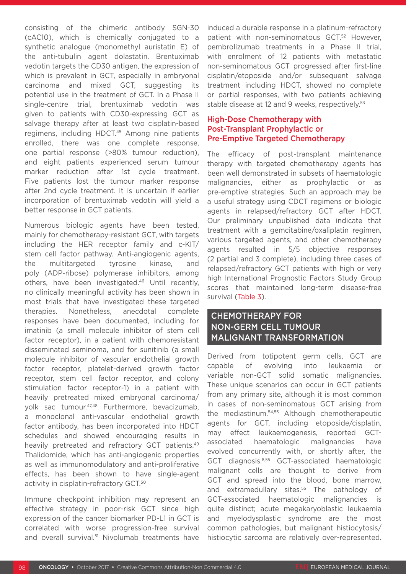consisting of the chimeric antibody SGN-30 (cAC10), which is chemically conjugated to a synthetic analogue (monomethyl auristatin E) of the anti-tubulin agent dolastatin. Brentuximab vedotin targets the CD30 antigen, the expression of which is prevalent in GCT, especially in embryonal carcinoma and mixed GCT, suggesting its potential use in the treatment of GCT. In a Phase II single-centre trial, brentuximab vedotin was given to patients with CD30-expressing GCT as salvage therapy after at least two cisplatin-based regimens, including HDCT.<sup>45</sup> Among nine patients enrolled, there was one complete response, one partial response (>80% tumour reduction), and eight patients experienced serum tumour marker reduction after 1st cycle treatment. Five patients lost the tumour marker response after 2nd cycle treatment. It is uncertain if earlier incorporation of brentuximab vedotin will yield a better response in GCT patients.

Numerous biologic agents have been tested, mainly for chemotherapy-resistant GCT, with targets including the HER receptor family and c-KIT/ stem cell factor pathway. Anti-angiogenic agents, the multitargeted tyrosine kinase, and poly (ADP-ribose) polymerase inhibitors, among others, have been investigated.46 Until recently, no clinically meaningful activity has been shown in most trials that have investigated these targeted therapies. Nonetheless, anecdotal complete responses have been documented, including for imatinib (a small molecule inhibitor of stem cell factor receptor), in a patient with chemoresistant disseminated seminoma, and for sunitinib (a small molecule inhibitor of vascular endothelial growth factor receptor, platelet-derived growth factor receptor, stem cell factor receptor, and colony stimulation factor receptor-1) in a patient with heavily pretreated mixed embryonal carcinoma/ yolk sac tumour.47,48 Furthermore, bevacizumab, a monoclonal anti-vascular endothelial growth factor antibody, has been incorporated into HDCT schedules and showed encouraging results in heavily pretreated and refractory GCT patients.<sup>49</sup> Thalidomide, which has anti-angiogenic properties as well as immunomodulatory and anti-proliferative effects, has been shown to have single-agent activity in cisplatin-refractory GCT.50

Immune checkpoint inhibition may represent an effective strategy in poor-risk GCT since high expression of the cancer biomarker PD-L1 in GCT is correlated with worse progression-free survival and overall survival.<sup>51</sup> Nivolumab treatments have induced a durable response in a platinum-refractory patient with non-seminomatous GCT.52 However, pembrolizumab treatments in a Phase II trial, with enrolment of 12 patients with metastatic non-seminomatous GCT progressed after first-line cisplatin/etoposide and/or subsequent salvage treatment including HDCT, showed no complete or partial responses, with two patients achieving stable disease at 12 and 9 weeks, respectively.<sup>53</sup>

#### High-Dose Chemotherapy with Post-Transplant Prophylactic or Pre-Emptive Targeted Chemotherapy

The efficacy of post-transplant maintenance therapy with targeted chemotherapy agents has been well demonstrated in subsets of haematologic malignancies, either as prophylactic or as pre-emptive strategies. Such an approach may be a useful strategy using CDCT regimens or biologic agents in relapsed/refractory GCT after HDCT. Our preliminary unpublished data indicate that treatment with a gemcitabine/oxaliplatin regimen, various targeted agents, and other chemotherapy agents resulted in 5/5 objective responses (2 partial and 3 complete), including three cases of relapsed/refractory GCT patients with high or very high International Prognostic Factors Study Group scores that maintained long-term disease-free survival (Table 3).

# CHEMOTHERAPY FOR NON-GERM CELL TUMOUR MALIGNANT TRANSFORMATION

Derived from totipotent germ cells, GCT are capable of evolving into leukaemia or variable non-GCT solid somatic malignancies. These unique scenarios can occur in GCT patients from any primary site, although it is most common in cases of non-seminomatous GCT arising from the mediastinum.54,55 Although chemotherapeutic agents for GCT, including etoposide/cisplatin, may effect leukaemogenesis, reported GCTassociated haematologic malignancies have evolved concurrently with, or shortly after, the GCT diagnosis.8,55 GCT-associated haematologic malignant cells are thought to derive from GCT and spread into the blood, bone marrow, and extramedullary sites.<sup>55</sup> The pathology of GCT-associated haematologic malignancies is quite distinct; acute megakaryoblastic leukaemia and myelodysplastic syndrome are the most common pathologies, but malignant histiocytosis/ histiocytic sarcoma are relatively over-represented.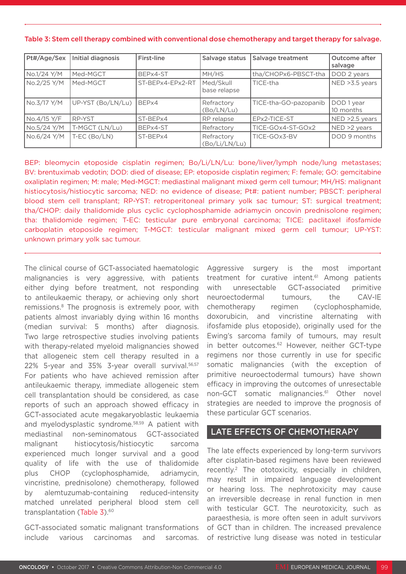| Pt#/Age/Sex | Initial diagnosis | First-line       | Salvage status              | Salvage treatment     | Outcome after<br>salvage |
|-------------|-------------------|------------------|-----------------------------|-----------------------|--------------------------|
| No.1/24 Y/M | Med-MGCT          | BEPx4-ST         | MH/HS                       | tha/CHOPx6-PBSCT-tha  | DOD 2 years              |
| No.2/25 Y/M | Med-MGCT          | ST-BEPx4-EPx2-RT | Med/Skull<br>base relapse   | TICE-tha              | NED > 3.5 years          |
| No.3/17 Y/M | UP-YST (Bo/LN/Lu) | BEPx4            | Refractory<br>(Bo/LN/Lu)    | TICE-tha-GO-pazopanib | DOD 1 year<br>10 months  |
| No.4/15 Y/F | RP-YST            | ST-BEPx4         | RP relapse                  | EPx2-TICE-ST          | NED >2.5 years           |
| No.5/24 Y/M | T-MGCT (LN/Lu)    | BEPx4-ST         | Refractory                  | TICE-GOx4-ST-GOx2     | NED >2 years             |
| No.6/24 Y/M | T-EC (Bo/LN)      | ST-BEPx4         | Refractory<br>(Bo/Li/LN/Lu) | TICE-GOx3-BV          | DOD 9 months             |

#### Table 3: Stem cell therapy combined with conventional dose chemotherapy and target therapy for salvage.

BEP: bleomycin etoposide cisplatin regimen; Bo/Li/LN/Lu: bone/liver/lymph node/lung metastases; BV: brentuximab vedotin; DOD: died of disease; EP: etoposide cisplatin regimen; F: female; GO: gemcitabine oxaliplatin regimen; M: male; Med-MGCT: mediastinal malignant mixed germ cell tumour; MH/HS: malignant histiocytosis/histiocytic sarcoma; NED: no evidence of disease; Pt#: patient number; PBSCT: peripheral blood stem cell transplant; RP-YST: retroperitoneal primary yolk sac tumour; ST: surgical treatment; tha/CHOP: daily thalidomide plus cyclic cyclophosphamide adriamycin oncovin prednisolone regimen; tha: thalidomide regimen; T-EC: testicular pure embryonal carcinoma; TICE: paclitaxel ifosfamide carboplatin etoposide regimen; T-MGCT: testicular malignant mixed germ cell tumour; UP-YST: unknown primary yolk sac tumour.

The clinical course of GCT-associated haematologic malignancies is very aggressive, with patients either dying before treatment, not responding to antileukaemic therapy, or achieving only short remissions.8 The prognosis is extremely poor, with patients almost invariably dying within 16 months (median survival: 5 months) after diagnosis. Two large retrospective studies involving patients with therapy-related myeloid malignancies showed that allogeneic stem cell therapy resulted in a 22% 5-year and 35% 3-year overall survival.56,57 For patients who have achieved remission after antileukaemic therapy, immediate allogeneic stem cell transplantation should be considered, as case reports of such an approach showed efficacy in GCT-associated acute megakaryoblastic leukaemia and myelodysplastic syndrome.58,59 A patient with mediastinal non-seminomatous GCT-associated malignant histiocytosis/histiocytic sarcoma experienced much longer survival and a good quality of life with the use of thalidomide plus CHOP (cyclophosphamide, adriamycin, vincristine, prednisolone) chemotherapy, followed by alemtuzumab-containing reduced-intensity matched unrelated peripheral blood stem cell transplantation (Table 3).<sup>60</sup>

GCT-associated somatic malignant transformations include various carcinomas and sarcomas. Aggressive surgery is the most important treatment for curative intent.<sup>61</sup> Among patients with unresectable GCT-associated primitive neuroectodermal tumours, the CAV-IE chemotherapy regimen (cyclophosphamide, doxorubicin, and vincristine alternating with ifosfamide plus etoposide), originally used for the Ewing's sarcoma family of tumours, may result in better outcomes.<sup>62</sup> However, neither GCT-type regimens nor those currently in use for specific somatic malignancies (with the exception of primitive neuroectodermal tumours) have shown efficacy in improving the outcomes of unresectable non-GCT somatic malignancies.<sup>61</sup> Other novel strategies are needed to improve the prognosis of these particular GCT scenarios.

#### LATE EFFECTS OF CHEMOTHERAPY

The late effects experienced by long-term survivors after cisplatin-based regimens have been reviewed recently.2 The ototoxicity, especially in children, may result in impaired language development or hearing loss. The nephrotoxicity may cause an irreversible decrease in renal function in men with testicular GCT. The neurotoxicity, such as paraesthesia, is more often seen in adult survivors of GCT than in children. The increased prevalence of restrictive lung disease was noted in testicular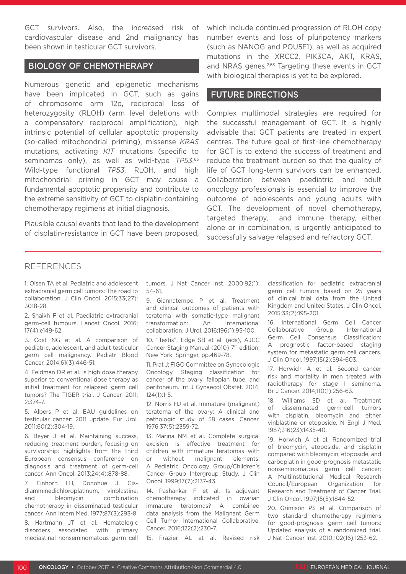GCT survivors. Also, the increased risk of cardiovascular disease and 2nd malignancy has been shown in testicular GCT survivors.

#### BIOLOGY OF CHEMOTHERAPY

Numerous genetic and epigenetic mechanisms have been implicated in GCT, such as gains of chromosome arm 12p, reciprocal loss of heterozygosity (RLOH) (arm level deletions with a compensatory reciprocal amplification), high intrinsic potential of cellular apoptotic propensity (so-called mitochondrial priming), missense *KRAS* mutations, activating *KIT* mutations (specific to seminomas only), as well as wild-type *TP53*. 63 Wild-type functional *TP53*, RLOH, and high mitochondrial priming in GCT may cause a fundamental apoptotic propensity and contribute to the extreme sensitivity of GCT to cisplatin-containing chemotherapy regimens at initial diagnosis.

Plausible causal events that lead to the development of cisplatin-resistance in GCT have been proposed, which include continued progression of RLOH copy number events and loss of pluripotency markers (such as NANOG and POU5F1), as well as acquired mutations in the XRCC2, PIK3CA, AKT, KRAS, and NRAS genes.<sup>2,63</sup> Targeting these events in GCT with biological therapies is yet to be explored.

#### FUTURE DIRECTIONS

Complex multimodal strategies are required for the successful management of GCT. It is highly advisable that GCT patients are treated in expert centres. The future goal of first-line chemotherapy for GCT is to extend the success of treatment and reduce the treatment burden so that the quality of life of GCT long-term survivors can be enhanced. Collaboration between paediatric and adult oncology professionals is essential to improve the outcome of adolescents and young adults with GCT. The development of novel chemotherapy, targeted therapy, and immune therapy, either alone or in combination, is urgently anticipated to successfully salvage relapsed and refractory GCT.

#### REFERENCES

1. Olsen TA et al. Pediatric and adolescent extracranial germ cell tumors: The road to collaboration. J Clin Oncol. 2015;33(27): 3018-28.

2. Shaikh F et al. Paediatric extracranial germ-cell tumours. Lancet Oncol. 2016; 17(4):e149-62.

3. Cost NG et al. A comparison of pediatric, adolescent, and adult testicular germ cell malignancy. Pediatr Blood Cancer. 2014;61(3):446-51.

4. Feldman DR et al. Is high dose therapy superior to conventional dose therapy as initial treatment for relapsed germ cell tumors? The TIGER trial. J Cancer. 2011; 2:374-7.

5. Albers P et al. EAU guidelines on testicular cancer: 2011 update. Eur Urol. 2011;60(2):304-19.

6. Beyer J et al. Maintaining success, reducing treatment burden, focusing on survivorship: highlights from the third European consensus conference on diagnosis and treatment of germ-cell cancer. Ann Oncol. 2013;24(4):878-88.

7. Einhorn LH, Donohue J. Cisdiamminedichloroplatinum, vinblastine, and bleomycin combination chemotherapy in disseminated testicular cancer. Ann Intern Med. 1977;87(3):293-8.

8. Hartmann JT et al. Hematologic disorders associated with primary mediastinal nonseminomatous germ cell tumors. J Nat Cancer Inst. 2000;92(1): 54-61.

9. Giannatempo P et al. Treatment and clinical outcomes of patients with teratoma with somatic-type malignant transformation: An international collaboration. J Urol. 2016;196(1):95-100.

10. "Testis", Edge SB et al. (eds), AJCC Cancer Staging Manual (2010) 7<sup>th</sup> edition, New York: Springer, pp.469-78.

11. Prat J; FIGO Committee on Gynecologic Oncology. Staging classification for cancer of the ovary, fallopian tube, and peritoneum. Int J Gynaecol Obstet. 2014; 124(1):1-5.

12. Norris HJ et al. Immature (malignant) teratoma of the ovary: A clinical and pathologic study of 58 cases. Cancer. 1976;37(5):2359-72.

13. Marina NM et al. Complete surgical excision is effective treatment for children with immature teratomas with or without malignant elements: A Pediatric Oncology Group/Children's Cancer Group Intergroup Study. J Clin Oncol. 1999;17(7):2137-43.

14. Pashankar F et al. Is adjuvant chemotherapy indicated in ovarian immature teratomas? A combined data analysis from the Malignant Germ Cell Tumor International Collaborative. Cancer. 2016;122(2):230-7.

15. Frazier AL et al. Revised risk

classification for pediatric extracranial germ cell tumors based on 25 years of clinical trial data from the United Kingdom and United States. J Clin Oncol. 2015;33(2):195-201.

16. International Germ Cell Cancer Collaborative Group. International Germ Cell Consensus Classification: A prognostic factor-based staging system for metastatic germ cell cancers. J Clin Oncol. 1997;15(2):594-603.

17. Horwich A et al. Second cancer risk and mortality in men treated with radiotherapy for stage I seminoma. Br J Cancer. 2014;110(1):256-63.

18. Williams SD et al. Treatment of disseminated germ-cell tumors with cisplatin, bleomycin and either vinblastine or etoposide. N Engl J Med. 1987;316(23):1435-40.

19. Horwich A et al. Randomized trial of bleomycin, etoposide, and cisplatin compared with bleomycin, etoposide, and carboplatin in good-prognosis metastatic nonseminomatous germ cell cancer: A Multiinstitutional Medical Research Council/European Organization for Research and Treatment of Cancer Trial. J Clin Oncol. 1997;15(5):1844-52.

20. Grimison PS et al. Comparison of two standard chemotherapy regimens for good-prognosis germ cell tumors: Updated analysis of a randomized trial. J Natl Cancer Inst. 2010;102(16):1253-62.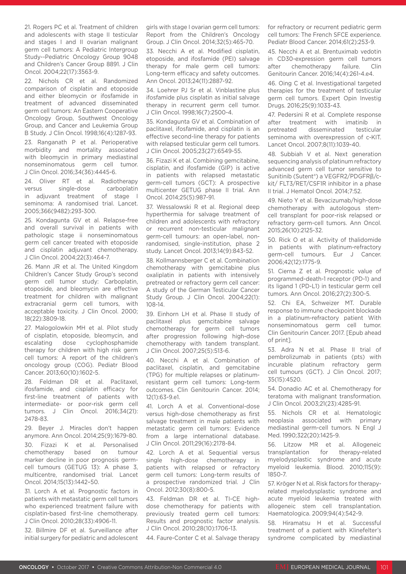21. Rogers PC et al. Treatment of children and adolescents with stage II testicular and stages I and II ovarian malignant germ cell tumors: A Pediatric Intergroup Study--Pediatric Oncology Group 9048 and Children's Cancer Group 8891. J Clin Oncol. 2004;22(17):3563-9.

22. Nichols CR et al. Randomized comparison of cisplatin and etoposide and either bleomycin or ifosfamide in treatment of advanced disseminated germ cell tumors: An Eastern Cooperative Oncology Group, Southwest Oncology Group, and Cancer and Leukemia Group B Study. J Clin Oncol. 1998;16(4):1287-93.

23. Ranganath P et al. Perioperative morbidity and mortality associated with bleomycin in primary mediastinal nonseminomatous germ cell tumor. J Clin Oncol. 2016;34(36):4445-6.

24. Oliver RT et al. Radiotherapy versus single-dose carboplatin in adjuvant treatment of stage I seminoma: A randomised trial. Lancet. 2005;366(9482):293-300.

25. Kondagunta GV et al. Relapse-free and overall survival in patients with pathologic stage ii nonseminomatous germ cell cancer treated with etoposide and cisplatin adjuvant chemotherapy. J Clin Oncol. 2004;22(3):464-7.

26. Mann JR et al. The United Kingdom Children's Cancer Study Group's second germ cell tumor study: Carboplatin, etoposide, and bleomycin are effective treatment for children with malignant extracranial germ cell tumors, with acceptable toxicity. J Clin Oncol. 2000; 18(22):3809-18.

27. Malogolowkin MH et al. Pilot study of cisplatin, etoposide, bleomycin, and escalating dose cyclophosphamide therapy for children with high risk germ cell tumors: A report of the children's oncology group (COG). Pediatr Blood Cancer. 2013;60(10):1602-5.

28. Feldman DR et al. Paclitaxel, ifosfamide, and cisplatin efficacy for first-line treatment of patients with intermediate- or poor-risk germ cell tumors. J Clin Oncol. 2016;34(21): 2478-83.

29. Beyer J. Miracles don't happen anymore. Ann Oncol. 2014;25(9):1679-80. 30. Fizazi K et al. Personalised chemotherapy based on tumour marker decline in poor prognosis germcell tumours (GETUG 13): A phase 3, multicentre, randomised trial. Lancet Oncol. 2014;15(13):1442–50.

31. Lorch A et al. Prognostic factors in patients with metastatic germ cell tumors who experienced treatment failure with cisplatin-based first-line chemotherapy. J Clin Oncol. 2010;28(33):4906-11.

32. Billmire DF et al. Surveillance after initial surgery for pediatric and adolescent girls with stage I ovarian germ cell tumors: Report from the Children's Oncology Group. J Clin Oncol. 2014;32(5):465-70.

33. Necchi A et al. Modified cisplatin, etoposide, and ifosfamide (PEI) salvage therapy for male germ cell tumors: Long-term efficacy and safety outcomes. Ann Oncol. 2013;24(11):2887-92.

34. Loehrer PJ Sr et al. Vinblastine plus ifosfamide plus cisplatin as initial salvage therapy in recurrent germ cell tumor. J Clin Oncol. 1998;16(7):2500-4.

35. Kondagunta GV et al. Combination of paclitaxel, ifosfamide, and cisplatin is an effective second-line therapy for patients with relapsed testicular germ cell tumors. J Clin Oncol. 2005;23(27):6549-55.

36. Fizazi K et al. Combining gemcitabine, cisplatin, and ifosfamide (GIP) is active in patients with relapsed metastatic germ-cell tumors (GCT): A prospective multicenter GETUG phase II trial. Ann Oncol. 2014;25(5):987-91.

37. Wessalowski R et al. Regional deep hyperthermia for salvage treatment of children and adolescents with refractory or recurrent non-testicular malignant germ-cell tumours: an open-label, nonrandomised, single-institution, phase 2 study. Lancet Oncol. 2013;14(9):843-52.

38. Kollmannsberger C et al. Combination chemotherapy with gemcitabine plus oxaliplatin in patients with intensively pretreated or refractory germ cell cancer: A study of the German Testicular Cancer Study Group. J Clin Oncol. 2004;22(1): 108-14.

39. Einhorn LH et al. Phase II study of paclitaxel plus gemcitabine salvage chemotherapy for germ cell tumors after progression following high-dose chemotherapy with tandem transplant. J Clin Oncol. 2007;25(5):513-6.

40. Necchi A et al. Combination of paclitaxel, cisplatin, and gemcitabine (TPG) for multiple relapses or platinumresistant germ cell tumors: Long-term outcomes. Clin Genitourin Cancer. 2014; 12(1):63-9.e1.

41. Lorch A et al. Conventional-dose versus high-dose chemotherapy as first salvage treatment in male patients with metastatic germ cell tumors: Evidence from a large international database. J Clin Oncol. 2011;29(16):2178-84.

42. Lorch A et al. Sequential versus single high-dose chemotherapy in patients with relapsed or refractory germ cell tumors: Long-term results of a prospective randomized trial. J Clin Oncol. 2012;30(8):800-5.

43. Feldman DR et al. TI-CE highdose chemotherapy for patients with previously treated germ cell tumors: Results and prognostic factor analysis. J Clin Oncol. 2010;28(10):1706-13.

44. Faure-Conter C et al. Salvage therapy

for refractory or recurrent pediatric germ cell tumors: The French SFCE experience. Pediatr Blood Cancer. 2014;61(2):253-9.

45. Necchi A et al. Brentuximab vedotin in CD30-expression germ cell tumors after chemotherapy failure. Clin Genitourin Cancer. 2016;14(4):261-4.e4.

46. Oing C et al. Investigational targeted therapies for the treatment of testicular germ cell tumors. Expert Opin Investig Drugs. 2016;25(9):1033-43.

47. Pedersini R et al. Complete response after treatment with imatinib in pretreated disseminated testicular seminoma with overexpression of c-KIT. Lancet Oncol. 2007;8(11):1039-40.

48. Subbiah V et al. Next generation sequencing analysis of platinum refractory advanced germ cell tumor sensitive to Sunitinib (Sutent®) a VEGFR2/PDGFRβ/ckit/ FLT3/RET/CSF1R inhibitor in a phase II trial. J Hematol Oncol. 2014;7:52.

49. Nieto Y et al. Bevacizumab/high-dose chemotherapy with autologous stemcell transplant for poor-risk relapsed or refractory germ-cell tumors. Ann Oncol. 2015;26(10):2125-32.

50. Rick O et al. Activity of thalidomide in patients with platinum-refractory germ-cell tumours. Eur J Cancer. 2006;42(12):1775-9.

51. Cierna Z et al. Prognostic value of programmed-death-1 receptor (PD-1) and its ligand 1 (PD-L1) in testicular germ cell tumors. Ann Oncol. 2016;27(2):300-5.

52. Chi EA, Schweizer MT. Durable response to immune checkpoint blockade in a platinum-refractory patient With nonseminomatous germ cell tumor. Clin Genitourin Cancer. 2017. [Epub ahead of print].

53. Adra N et al. Phase II trial of pembrolizumab in patients (pts) with incurable platinum refractory germ cell tumours (GCT). J Clin Oncol. 2017; 35(15):4520.

54. Donadio AC et al. Chemotherapy for teratoma with malignant transformation. J Clin Oncol. 2003;21(23):4285-91.

55. Nichols CR et al. Hematologic neoplasia associated with primary mediastinal germ-cell tumors. N Engl J Med. 1990;322(20):1425-9.

56. Litzow MR et al. Allogeneic transplantation for therapy-related myelodysplastic syndrome and acute myeloid leukemia. Blood. 2010;115(9): 1850-7.

57. Kröger N et al. Risk factors for therapyrelated myelodysplastic syndrome and acute myeloid leukemia treated with allogeneic stem cell transplantation. Haematologica. 2009;94(4):542-9.

58. Hiramatsu H et al. Successful treatment of a patient with Klinefelter's syndrome complicated by mediastinal